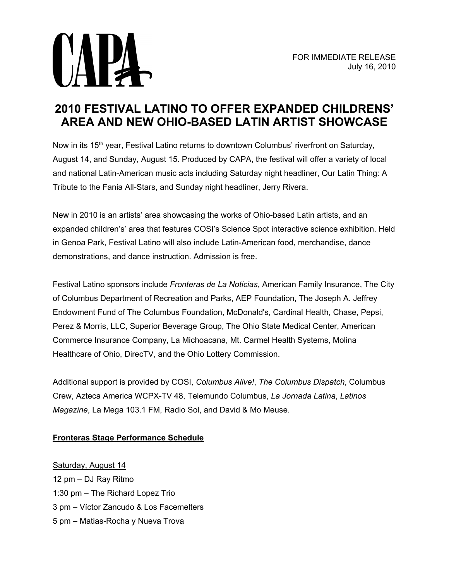

## **2010 FESTIVAL LATINO TO OFFER EXPANDED CHILDRENS' AREA AND NEW OHIO-BASED LATIN ARTIST SHOWCASE**

Now in its 15<sup>th</sup> year, Festival Latino returns to downtown Columbus' riverfront on Saturday, August 14, and Sunday, August 15. Produced by CAPA, the festival will offer a variety of local and national Latin-American music acts including Saturday night headliner, Our Latin Thing: A Tribute to the Fania All-Stars, and Sunday night headliner, Jerry Rivera.

New in 2010 is an artists' area showcasing the works of Ohio-based Latin artists, and an expanded children's' area that features COSI's Science Spot interactive science exhibition. Held in Genoa Park, Festival Latino will also include Latin-American food, merchandise, dance demonstrations, and dance instruction. Admission is free.

Festival Latino sponsors include *Fronteras de La Noticias*, American Family Insurance, The City of Columbus Department of Recreation and Parks, AEP Foundation, The Joseph A. Jeffrey Endowment Fund of The Columbus Foundation, McDonald's, Cardinal Health, Chase, Pepsi, Perez & Morris, LLC, Superior Beverage Group, The Ohio State Medical Center, American Commerce Insurance Company, La Michoacana, Mt. Carmel Health Systems, Molina Healthcare of Ohio, DirecTV, and the Ohio Lottery Commission.

Additional support is provided by COSI, *Columbus Alive!*, *The Columbus Dispatch*, Columbus Crew, Azteca America WCPX-TV 48, Telemundo Columbus, *La Jornada Latina*, *Latinos Magazine*, La Mega 103.1 FM, Radio Sol, and David & Mo Meuse.

## **Fronteras Stage Performance Schedule**

Saturday, August 14 12 pm – DJ Ray Ritmo 1:30 pm – The Richard Lopez Trio 3 pm – Víctor Zancudo & Los Facemelters 5 pm – Matias-Rocha y Nueva Trova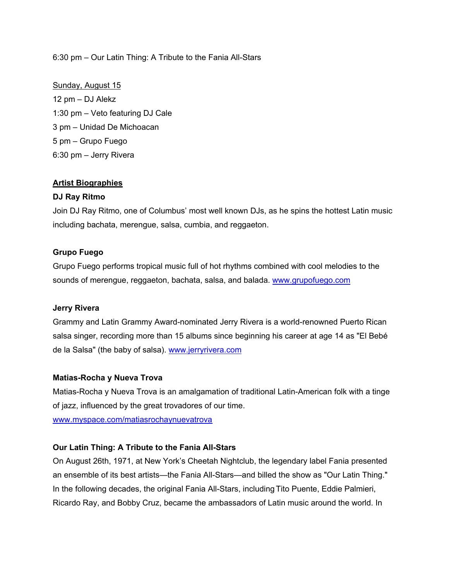#### 6:30 pm – Our Latin Thing: A Tribute to the Fania All-Stars

# Sunday, August 15

12 pm – DJ Alekz 1:30 pm – Veto featuring DJ Cale 3 pm – Unidad De Michoacan 5 pm – Grupo Fuego 6:30 pm – Jerry Rivera

#### **Artist Biographies**

#### **DJ Ray Ritmo**

Join DJ Ray Ritmo, one of Columbus' most well known DJs, as he spins the hottest Latin music including bachata, merengue, salsa, cumbia, and reggaeton.

#### **Grupo Fuego**

Grupo Fuego performs tropical music full of hot rhythms combined with cool melodies to the sounds of merengue, reggaeton, bachata, salsa, and balada. [www.grupofuego.com](http://www.grupofuego.com/) 

#### **Jerry Rivera**

Grammy and Latin Grammy Award-nominated Jerry Rivera is a world-renowned Puerto Rican salsa singer, recording more than 15 albums since beginning his career at age 14 as "El Bebé de la Salsa" (the baby of salsa). [www.jerryrivera.com](http://www.jerryrivera.com/)

#### **Matias-Rocha y Nueva Trova**

Matias-Rocha y Nueva Trova is an amalgamation of traditional Latin-American folk with a tinge of jazz, influenced by the great trovadores of our time.

[www.myspace.com/matiasrochaynuevatrova](http://www.myspace.com/matiasrochaynuevatrova)

#### **Our Latin Thing: A Tribute to the Fania All-Stars**

On August 26th, 1971, at New York's Cheetah Nightclub, the legendary label Fania presented an ensemble of its best artists—the Fania All-Stars—and billed the show as "Our Latin Thing." In the following decades, the original Fania All-Stars, including Tito Puente, Eddie Palmieri, Ricardo Ray, and Bobby Cruz, became the ambassadors of Latin music around the world. In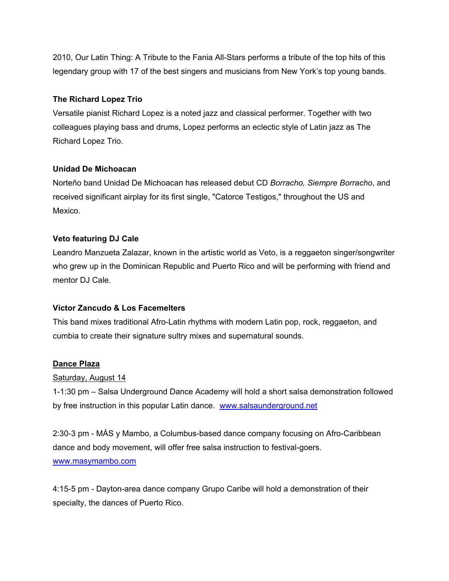2010, Our Latin Thing: A Tribute to the Fania All-Stars performs a tribute of the top hits of this legendary group with 17 of the best singers and musicians from New York's top young bands.

### **The Richard Lopez Trio**

Versatile pianist Richard Lopez is a noted jazz and classical performer. Together with two colleagues playing bass and drums, Lopez performs an eclectic style of Latin jazz as The Richard Lopez Trio.

## **Unidad De Michoacan**

Norteño band Unidad De Michoacan has released debut CD *Borracho, Siempre Borracho*, and received significant airplay for its first single, "Catorce Testigos," throughout the US and Mexico.

## **Veto featuring DJ Cale**

Leandro Manzueta Zalazar, known in the artistic world as Veto, is a reggaeton singer/songwriter who grew up in the Dominican Republic and Puerto Rico and will be performing with friend and mentor DJ Cale.

## **Víctor Zancudo & Los Facemelters**

This band mixes traditional Afro-Latin rhythms with modern Latin pop, rock, reggaeton, and cumbia to create their signature sultry mixes and supernatural sounds.

#### **Dance Plaza**

#### Saturday, August 14

1-1:30 pm – Salsa Underground Dance Academy will hold a short salsa demonstration followed by free instruction in this popular Latin dance. www.salsaunderground.net

2:30-3 pm - MÁS y Mambo, a Columbus-based dance company focusing on Afro-Caribbean dance and body movement, will offer free salsa instruction to festival-goers. [www.masymambo.com](http://www.masymambo.com/) 

4:15-5 pm - Dayton-area dance company Grupo Caribe will hold a demonstration of their specialty, the dances of Puerto Rico.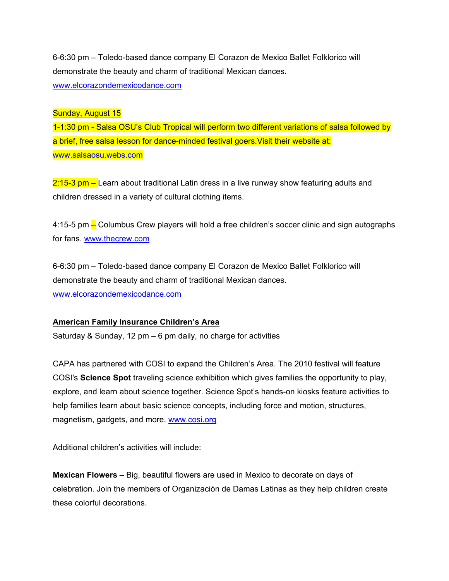6-6:30 pm – Toledo-based dance company El Corazon de Mexico Ballet Folklorico will demonstrate the beauty and charm of traditional Mexican dances. [www.elcorazondemexicodance.com](http://www.elcorazondemexicodance.com/) 

#### Sunday, August 15

1-1:30 pm - Salsa OSU's Club Tropical will perform two different variations of salsa followed by a brief, free salsa lesson for dance-minded festival goers. Visit their website at: [www.salsaosu.webs.com](http://www.salsaosu.webs.com/)

 $2:15-3$  pm – Learn about traditional Latin dress in a live runway show featuring adults and children dressed in a variety of cultural clothing items.

4:15-5 pm – Columbus Crew players will hold a free children's soccer clinic and sign autographs for fans. [www.thecrew.com](http://www.thecrew.com/) 

6-6:30 pm – Toledo-based dance company El Corazon de Mexico Ballet Folklorico will demonstrate the beauty and charm of traditional Mexican dances. [www.elcorazondemexicodance.com](http://www.elcorazondemexicodance.com/) 

#### **American Family Insurance Children's Area**

Saturday & Sunday, 12 pm  $-6$  pm daily, no charge for activities

CAPA has partnered with COSI to expand the Children's Area. The 2010 festival will feature COSI's **Science Spot** traveling science exhibition which gives families the opportunity to play, explore, and learn about science together. Science Spot's hands-on kiosks feature activities to help families learn about basic science concepts, including force and motion, structures, magnetism, gadgets, and more. www.cosi.org

Additional children's activities will include:

**Mexican Flowers** – Big, beautiful flowers are used in Mexico to decorate on days of celebration. Join the members of Organización de Damas Latinas as they help children create these colorful decorations.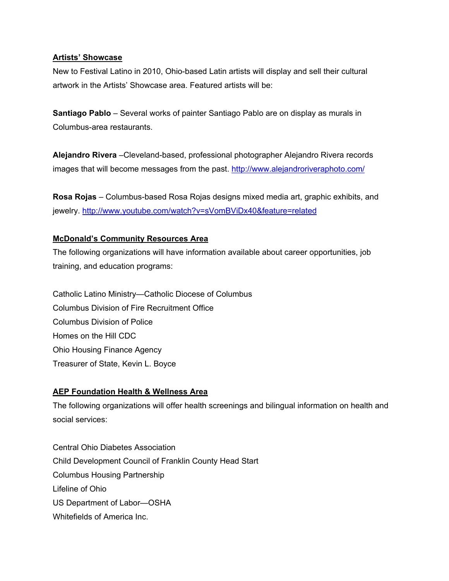#### **Artists' Showcase**

New to Festival Latino in 2010, Ohio-based Latin artists will display and sell their cultural artwork in the Artists' Showcase area. Featured artists will be:

**Santiago Pablo** – Several works of painter Santiago Pablo are on display as murals in Columbus-area restaurants.

**Alejandro Rivera** –Cleveland-based, professional photographer Alejandro Rivera records images that will become messages from the past. http://www.alejandroriveraphoto.com/

**Rosa Rojas** – Columbus-based Rosa Rojas designs mixed media art, graphic exhibits, and jewelry.<http://www.youtube.com/watch?v=sVomBViDx40&feature=related>

## **McDonald's Community Resources Area**

The following organizations will have information available about career opportunities, job training, and education programs:

Catholic Latino Ministry—Catholic Diocese of Columbus Columbus Division of Fire Recruitment Office Columbus Division of Police Homes on the Hill CDC Ohio Housing Finance Agency Treasurer of State, Kevin L. Boyce

#### **AEP Foundation Health & Wellness Area**

The following organizations will offer health screenings and bilingual information on health and social services:

Central Ohio Diabetes Association Child Development Council of Franklin County Head Start Columbus Housing Partnership Lifeline of Ohio US Department of Labor—OSHA Whitefields of America Inc.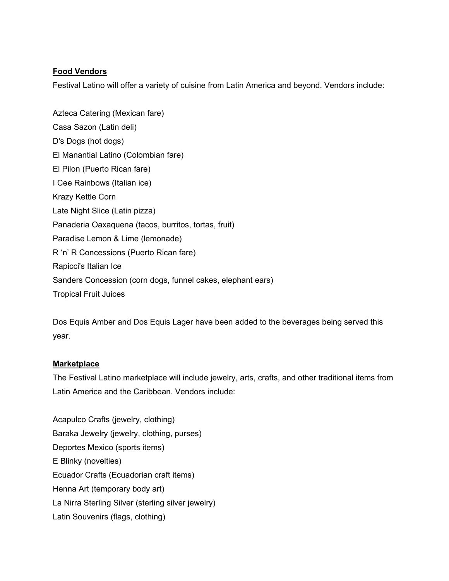## **Food Vendors**

Festival Latino will offer a variety of cuisine from Latin America and beyond. Vendors include:

Azteca Catering (Mexican fare) Casa Sazon (Latin deli) D's Dogs (hot dogs) El Manantial Latino (Colombian fare) El Pilon (Puerto Rican fare) I Cee Rainbows (Italian ice) Krazy Kettle Corn Late Night Slice (Latin pizza) Panaderia Oaxaquena (tacos, burritos, tortas, fruit) Paradise Lemon & Lime (lemonade) R 'n' R Concessions (Puerto Rican fare) Rapicci's Italian Ice Sanders Concession (corn dogs, funnel cakes, elephant ears) Tropical Fruit Juices

Dos Equis Amber and Dos Equis Lager have been added to the beverages being served this year.

## **Marketplace**

The Festival Latino marketplace will include jewelry, arts, crafts, and other traditional items from Latin America and the Caribbean. Vendors include:

Acapulco Crafts (jewelry, clothing) Baraka Jewelry (jewelry, clothing, purses) Deportes Mexico (sports items) E Blinky (novelties) Ecuador Crafts (Ecuadorian craft items) Henna Art (temporary body art) La Nirra Sterling Silver (sterling silver jewelry) Latin Souvenirs (flags, clothing)